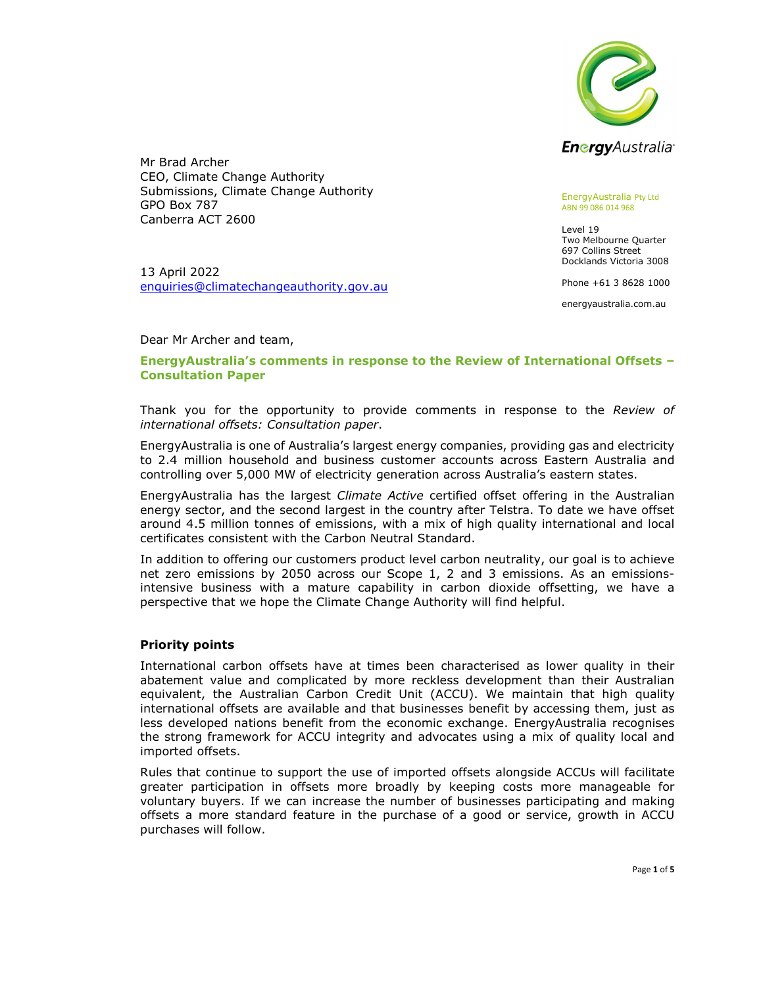

Mr Brad Archer CEO, Climate Change Authority Submissions, Climate Change Authority GPO Box 787 Canberra ACT 2600

13 April 2022 enquiries@climatechangeauthority.gov.au<br>Dear Mr Archer and team, EnergyAustralia Pty Ltd ABN 99 086 014 968

Level 19 Two Melbourne Quarter 697 Collins Street Docklands Victoria 3008

Phone +61 3 8628 1000

energyaustralia.com.au

## EnergyAustralia's comments in response to the Review of International Offsets – Consultation Paper

Thank you for the opportunity to provide comments in response to the Review of international offsets: Consultation paper.<br>EnergyAustralia is one of Australia's largest energy companies, providing gas and electricity

to 2.4 million household and business customer accounts across Eastern Australia and controlling over 5,000 MW of electricity generation across Australia's eastern states.

EnergyAustralia has the largest Climate Active certified offset offering in the Australian energy sector, and the second largest in the country after Telstra. To date we have offset around 4.5 million tonnes of emissions, with a mix of high quality international and local certificates consistent with the Carbon Neutral Standard.

In addition to offering our customers product level carbon neutrality, our goal is to achieve net zero emissions by 2050 across our Scope 1, 2 and 3 emissions. As an emissionsintensive business with a mature capability in carbon dioxide offsetting, we have a perspective that we hope the Climate Change Authority will find helpful.

## Priority points

International carbon offsets have at times been characterised as lower quality in their abatement value and complicated by more reckless development than their Australian equivalent, the Australian Carbon Credit Unit (ACCU). We maintain that high quality international offsets are available and that businesses benefit by accessing them, just as less developed nations benefit from the economic exchange. EnergyAustralia recognises the strong framework for ACCU integrity and advocates using a mix of quality local and imported offsets.

Rules that continue to support the use of imported offsets alongside ACCUs will facilitate greater participation in offsets more broadly by keeping costs more manageable for voluntary buyers. If we can increase the number of businesses participating and making offsets a more standard feature in the purchase of a good or service, growth in ACCU purchases will follow.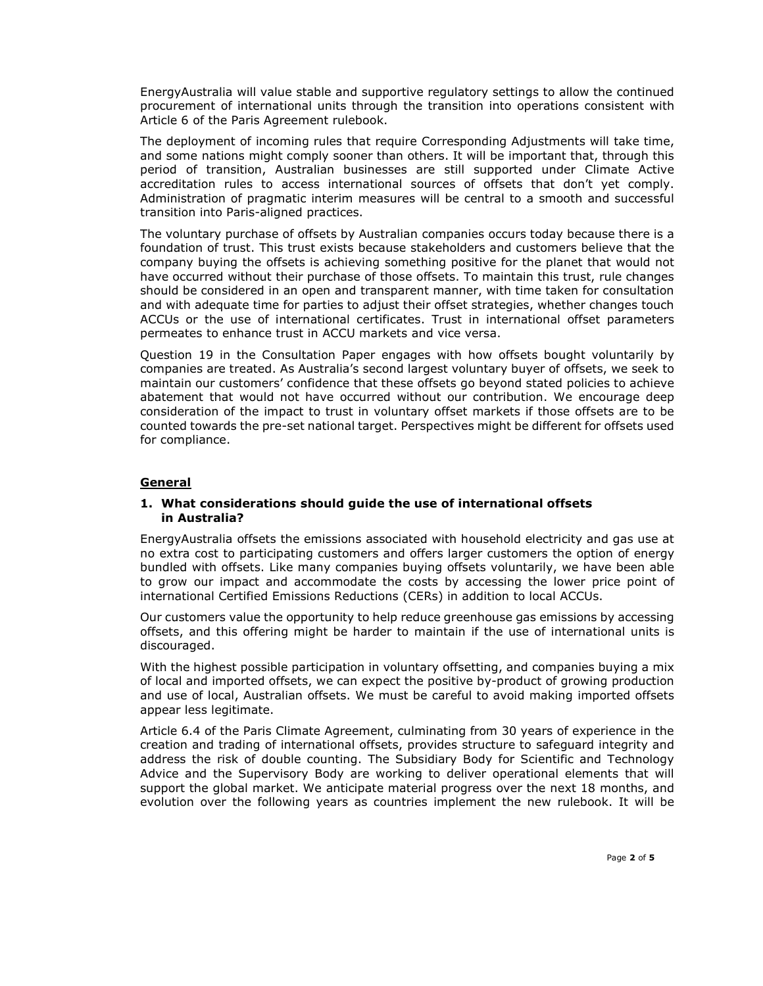EnergyAustralia will value stable and supportive regulatory settings to allow the continued procurement of international units through the transition into operations consistent with Article 6 of the Paris Agreement rulebook.

The deployment of incoming rules that require Corresponding Adjustments will take time, and some nations might comply sooner than others. It will be important that, through this period of transition, Australian businesses are still supported under Climate Active accreditation rules to access international sources of offsets that don't yet comply. Administration of pragmatic interim measures will be central to a smooth and successful transition into Paris-aligned practices.

The voluntary purchase of offsets by Australian companies occurs today because there is a foundation of trust. This trust exists because stakeholders and customers believe that the company buying the offsets is achieving something positive for the planet that would not have occurred without their purchase of those offsets. To maintain this trust, rule changes should be considered in an open and transparent manner, with time taken for consultation and with adequate time for parties to adjust their offset strategies, whether changes touch ACCUs or the use of international certificates. Trust in international offset parameters permeates to enhance trust in ACCU markets and vice versa.

Question 19 in the Consultation Paper engages with how offsets bought voluntarily by companies are treated. As Australia's second largest voluntary buyer of offsets, we seek to maintain our customers' confidence that these offsets go beyond stated policies to achieve abatement that would not have occurred without our contribution. We encourage deep consideration of the impact to trust in voluntary offset markets if those offsets are to be counted towards the pre-set national target. Perspectives might be different for offsets used for compliance.

# General

## 1. What considerations should guide the use of international offsets in Australia?

EnergyAustralia offsets the emissions associated with household electricity and gas use at no extra cost to participating customers and offers larger customers the option of energy bundled with offsets. Like many companies buying offsets voluntarily, we have been able to grow our impact and accommodate the costs by accessing the lower price point of international Certified Emissions Reductions (CERs) in addition to local ACCUs.

Our customers value the opportunity to help reduce greenhouse gas emissions by accessing offsets, and this offering might be harder to maintain if the use of international units is discouraged.

With the highest possible participation in voluntary offsetting, and companies buying a mix of local and imported offsets, we can expect the positive by-product of growing production and use of local, Australian offsets. We must be careful to avoid making imported offsets appear less legitimate.

Article 6.4 of the Paris Climate Agreement, culminating from 30 years of experience in the creation and trading of international offsets, provides structure to safeguard integrity and address the risk of double counting. The Subsidiary Body for Scientific and Technology Advice and the Supervisory Body are working to deliver operational elements that will support the global market. We anticipate material progress over the next 18 months, and evolution over the following years as countries implement the new rulebook. It will be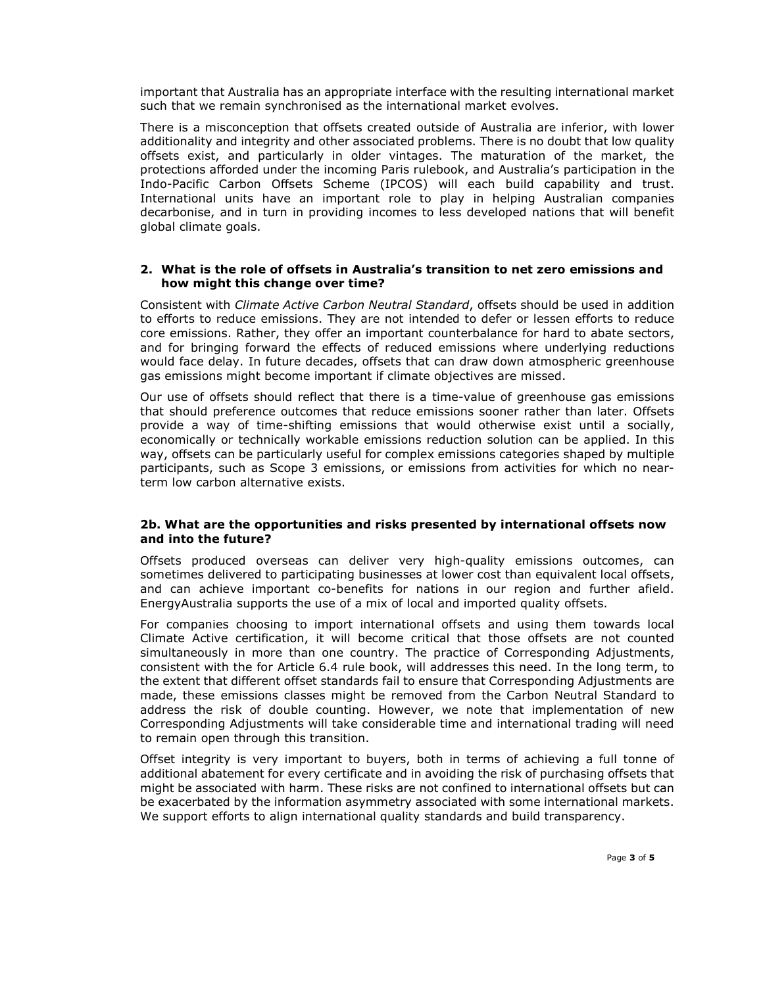important that Australia has an appropriate interface with the resulting international market such that we remain synchronised as the international market evolves.

There is a misconception that offsets created outside of Australia are inferior, with lower additionality and integrity and other associated problems. There is no doubt that low quality offsets exist, and particularly in older vintages. The maturation of the market, the protections afforded under the incoming Paris rulebook, and Australia's participation in the Indo-Pacific Carbon Offsets Scheme (IPCOS) will each build capability and trust. International units have an important role to play in helping Australian companies decarbonise, and in turn in providing incomes to less developed nations that will benefit global climate goals.

#### 2. What is the role of offsets in Australia's transition to net zero emissions and how might this change over time?

Consistent with Climate Active Carbon Neutral Standard, offsets should be used in addition to efforts to reduce emissions. They are not intended to defer or lessen efforts to reduce core emissions. Rather, they offer an important counterbalance for hard to abate sectors, and for bringing forward the effects of reduced emissions where underlying reductions would face delay. In future decades, offsets that can draw down atmospheric greenhouse gas emissions might become important if climate objectives are missed.

Our use of offsets should reflect that there is a time-value of greenhouse gas emissions that should preference outcomes that reduce emissions sooner rather than later. Offsets provide a way of time-shifting emissions that would otherwise exist until a socially, economically or technically workable emissions reduction solution can be applied. In this way, offsets can be particularly useful for complex emissions categories shaped by multiple participants, such as Scope 3 emissions, or emissions from activities for which no nearterm low carbon alternative exists.

## 2b. What are the opportunities and risks presented by international offsets now and into the future?

Offsets produced overseas can deliver very high-quality emissions outcomes, can sometimes delivered to participating businesses at lower cost than equivalent local offsets, and can achieve important co-benefits for nations in our region and further afield. EnergyAustralia supports the use of a mix of local and imported quality offsets.

For companies choosing to import international offsets and using them towards local Climate Active certification, it will become critical that those offsets are not counted simultaneously in more than one country. The practice of Corresponding Adjustments, consistent with the for Article 6.4 rule book, will addresses this need. In the long term, to the extent that different offset standards fail to ensure that Corresponding Adjustments are made, these emissions classes might be removed from the Carbon Neutral Standard to address the risk of double counting. However, we note that implementation of new Corresponding Adjustments will take considerable time and international trading will need to remain open through this transition.

Offset integrity is very important to buyers, both in terms of achieving a full tonne of additional abatement for every certificate and in avoiding the risk of purchasing offsets that might be associated with harm. These risks are not confined to international offsets but can be exacerbated by the information asymmetry associated with some international markets. We support efforts to align international quality standards and build transparency.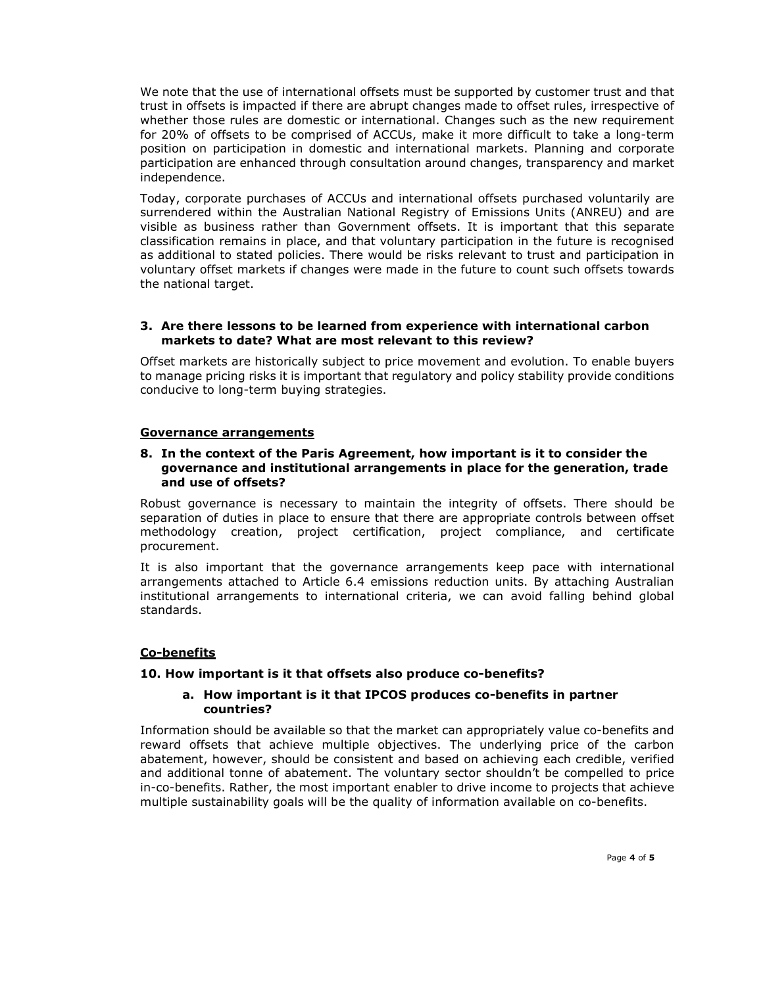We note that the use of international offsets must be supported by customer trust and that trust in offsets is impacted if there are abrupt changes made to offset rules, irrespective of whether those rules are domestic or international. Changes such as the new requirement for 20% of offsets to be comprised of ACCUs, make it more difficult to take a long-term position on participation in domestic and international markets. Planning and corporate participation are enhanced through consultation around changes, transparency and market independence.

Today, corporate purchases of ACCUs and international offsets purchased voluntarily are surrendered within the Australian National Registry of Emissions Units (ANREU) and are visible as business rather than Government offsets. It is important that this separate classification remains in place, and that voluntary participation in the future is recognised as additional to stated policies. There would be risks relevant to trust and participation in voluntary offset markets if changes were made in the future to count such offsets towards the national target.

## 3. Are there lessons to be learned from experience with international carbon markets to date? What are most relevant to this review?

Offset markets are historically subject to price movement and evolution. To enable buyers to manage pricing risks it is important that regulatory and policy stability provide conditions conducive to long-term buying strategies.

#### Governance arrangements

#### 8. In the context of the Paris Agreement, how important is it to consider the governance and institutional arrangements in place for the generation, trade and use of offsets?

Robust governance is necessary to maintain the integrity of offsets. There should be separation of duties in place to ensure that there are appropriate controls between offset methodology creation, project certification, project compliance, and certificate procurement.

It is also important that the governance arrangements keep pace with international arrangements attached to Article 6.4 emissions reduction units. By attaching Australian institutional arrangements to international criteria, we can avoid falling behind global standards.

## Co-benefits

## 10. How important is it that offsets also produce co-benefits?

#### a. How important is it that IPCOS produces co-benefits in partner countries?

Information should be available so that the market can appropriately value co-benefits and reward offsets that achieve multiple objectives. The underlying price of the carbon abatement, however, should be consistent and based on achieving each credible, verified and additional tonne of abatement. The voluntary sector shouldn't be compelled to price in-co-benefits. Rather, the most important enabler to drive income to projects that achieve multiple sustainability goals will be the quality of information available on co-benefits.